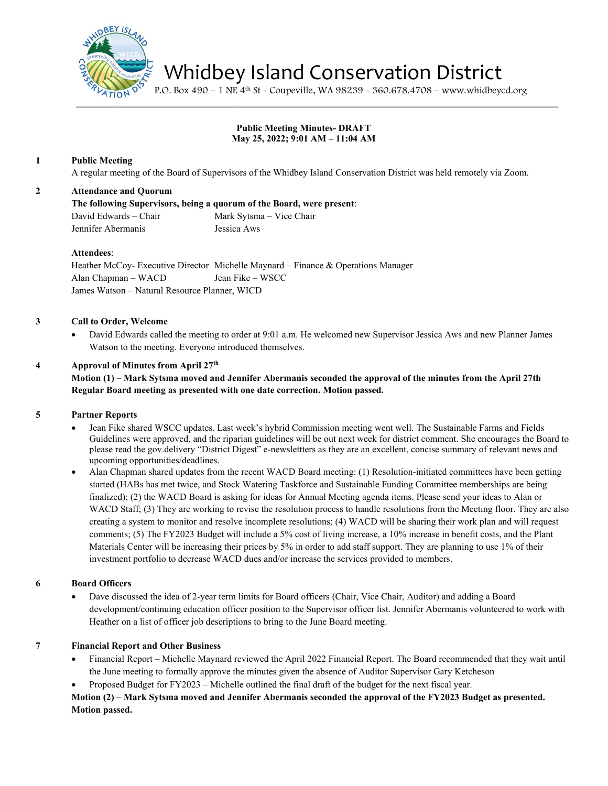

Whidbey Island Conservation District

P.O. Box 490 – 1 NE 4th St - Coupeville, WA 98239 - 360.678.4708 – www.whidbeycd.org

# **Public Meeting Minutes- DRAFT May 25, 2022; 9:01 AM – 11:04 AM**

## **1 Public Meeting**

A regular meeting of the Board of Supervisors of the Whidbey Island Conservation District was held remotely via Zoom.

## **2 Attendance and Quorum**

**The following Supervisors, being a quorum of the Board, were present**:

David Edwards – Chair Mark Sytsma – Vice Chair Jennifer Abermanis Jessica Aws

#### **Attendees**:

Heather McCoy- Executive Director Michelle Maynard – Finance & Operations Manager Alan Chapman – WACD Jean Fike – WSCC James Watson – Natural Resource Planner, WICD

## **3 Call to Order, Welcome**

• David Edwards called the meeting to order at 9:01 a.m. He welcomed new Supervisor Jessica Aws and new Planner James Watson to the meeting. Everyone introduced themselves.

## **4 Approval of Minutes from April 27th**

# **Motion (1)** – **Mark Sytsma moved and Jennifer Abermanis seconded the approval of the minutes from the April 27th Regular Board meeting as presented with one date correction. Motion passed.**

## **5 Partner Reports**

- Jean Fike shared WSCC updates. Last week's hybrid Commission meeting went well. The Sustainable Farms and Fields Guidelines were approved, and the riparian guidelines will be out next week for district comment. She encourages the Board to please read the gov.delivery "District Digest" e-newslettters as they are an excellent, concise summary of relevant news and upcoming opportunities/deadlines.
- Alan Chapman shared updates from the recent WACD Board meeting: (1) Resolution-initiated committees have been getting started (HABs has met twice, and Stock Watering Taskforce and Sustainable Funding Committee memberships are being finalized); (2) the WACD Board is asking for ideas for Annual Meeting agenda items. Please send your ideas to Alan or WACD Staff; (3) They are working to revise the resolution process to handle resolutions from the Meeting floor. They are also creating a system to monitor and resolve incomplete resolutions; (4) WACD will be sharing their work plan and will request comments; (5) The FY2023 Budget will include a 5% cost of living increase, a 10% increase in benefit costs, and the Plant Materials Center will be increasing their prices by 5% in order to add staff support. They are planning to use 1% of their investment portfolio to decrease WACD dues and/or increase the services provided to members.

## **6 Board Officers**

- Dave discussed the idea of 2-year term limits for Board officers (Chair, Vice Chair, Auditor) and adding a Board development/continuing education officer position to the Supervisor officer list. Jennifer Abermanis volunteered to work with Heather on a list of officer job descriptions to bring to the June Board meeting.
- 

#### **7 Financial Report and Other Business**

- Financial Report Michelle Maynard reviewed the April 2022 Financial Report. The Board recommended that they wait until the June meeting to formally approve the minutes given the absence of Auditor Supervisor Gary Ketcheson
- Proposed Budget for FY2023 Michelle outlined the final draft of the budget for the next fiscal year.

# **Motion (2)** – **Mark Sytsma moved and Jennifer Abermanis seconded the approval of the FY2023 Budget as presented. Motion passed.**